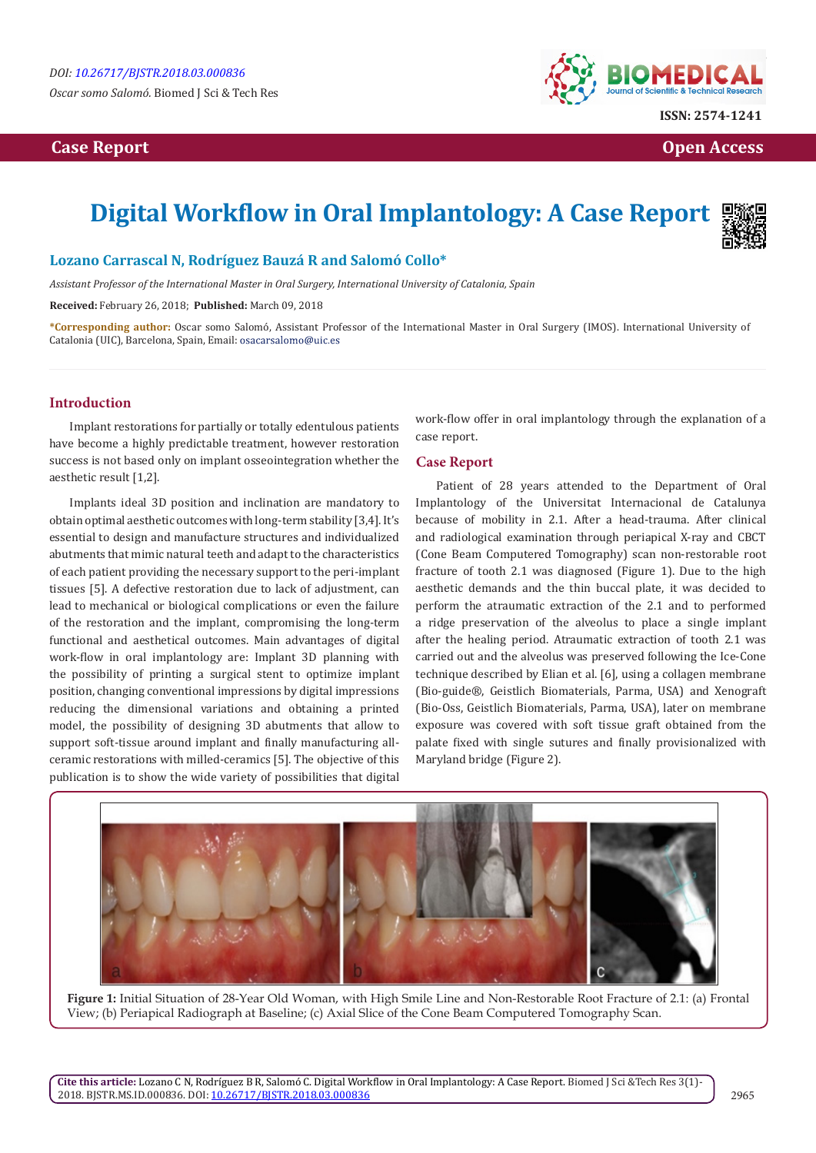*Oscar somo Salomó.* Biomed J Sci & Tech Res

## **Case Report Case Report Open Access Open Access Open Access Open Access**



# **Digital Workflow in Oral Implantology: A Case Report**



## **Lozano Carrascal N, Rodríguez Bauzá R and Salomó Collo\***

*Assistant Professor of the International Master in Oral Surgery, International University of Catalonia, Spain*

**Received:** February 26, 2018; **Published:** March 09, 2018

**\*Corresponding author:** Oscar somo Salomó, Assistant Professor of the International Master in Oral Surgery (IMOS). International University of Catalonia (UIC), Barcelona, Spain, Email:

#### **Introduction**

Implant restorations for partially or totally edentulous patients have become a highly predictable treatment, however restoration success is not based only on implant osseointegration whether the aesthetic result [1,2].

Implants ideal 3D position and inclination are mandatory to obtain optimal aesthetic outcomes with long-term stability [3,4]. It's essential to design and manufacture structures and individualized abutments that mimic natural teeth and adapt to the characteristics of each patient providing the necessary support to the peri-implant tissues [5]. A defective restoration due to lack of adjustment, can lead to mechanical or biological complications or even the failure of the restoration and the implant, compromising the long-term functional and aesthetical outcomes. Main advantages of digital work-flow in oral implantology are: Implant 3D planning with the possibility of printing a surgical stent to optimize implant position, changing conventional impressions by digital impressions reducing the dimensional variations and obtaining a printed model, the possibility of designing 3D abutments that allow to support soft-tissue around implant and finally manufacturing allceramic restorations with milled-ceramics [5]. The objective of this publication is to show the wide variety of possibilities that digital

work-flow offer in oral implantology through the explanation of a case report.

### **Case Report**

Patient of 28 years attended to the Department of Oral Implantology of the Universitat Internacional de Catalunya because of mobility in 2.1. After a head-trauma. After clinical and radiological examination through periapical X-ray and CBCT (Cone Beam Computered Tomography) scan non-restorable root fracture of tooth 2.1 was diagnosed (Figure 1). Due to the high aesthetic demands and the thin buccal plate, it was decided to perform the atraumatic extraction of the 2.1 and to performed a ridge preservation of the alveolus to place a single implant after the healing period. Atraumatic extraction of tooth 2.1 was carried out and the alveolus was preserved following the Ice-Cone technique described by Elian et al. [6], using a collagen membrane (Bio-guide®, Geistlich Biomaterials, Parma, USA) and Xenograft (Bio-Oss, Geistlich Biomaterials, Parma, USA), later on membrane exposure was covered with soft tissue graft obtained from the palate fixed with single sutures and finally provisionalized with Maryland bridge (Figure 2).



**Figure 1:** Initial Situation of 28-Year Old Woman, with High Smile Line and Non-Restorable Root Fracture of 2.1: (a) Frontal View; (b) Periapical Radiograph at Baseline; (c) Axial Slice of the Cone Beam Computered Tomography Scan.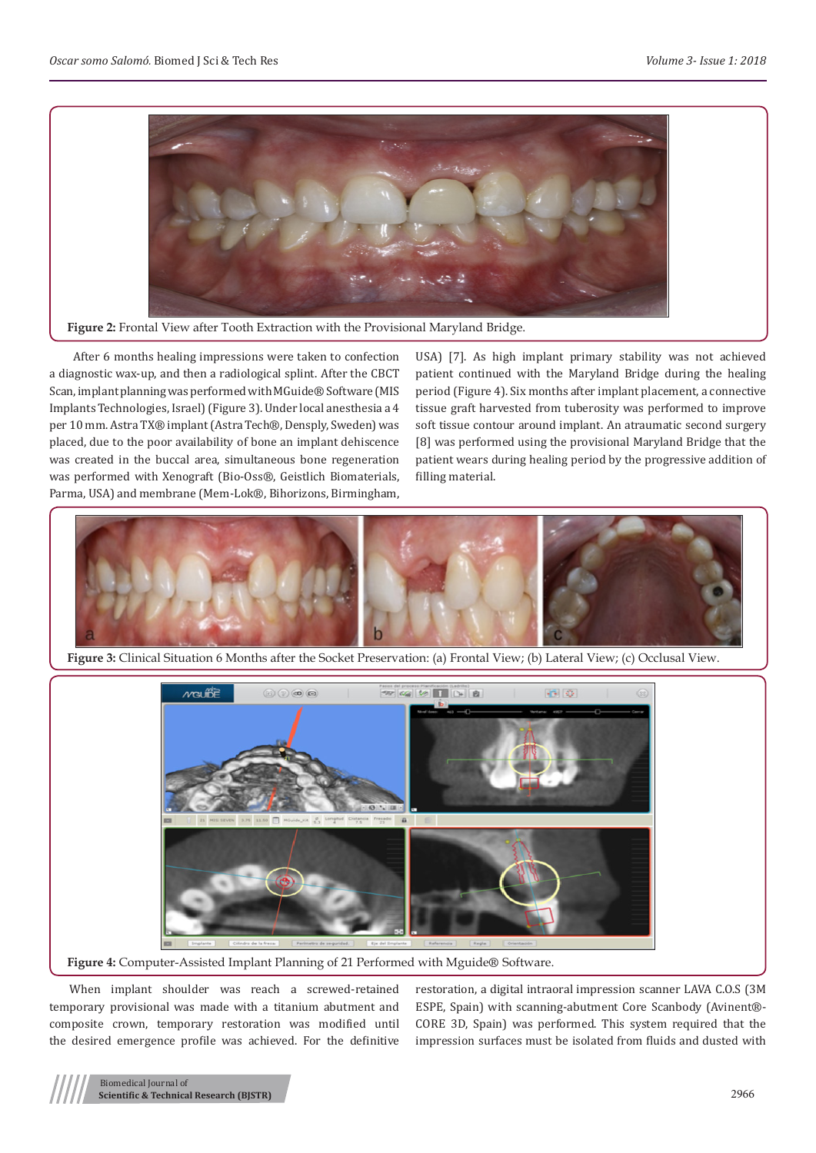

**Figure 2:** Frontal View after Tooth Extraction with the Provisional Maryland Bridge.

 After 6 months healing impressions were taken to confection a diagnostic wax-up, and then a radiological splint. After the CBCT Scan, implant planning was performed with MGuide® Software (MIS Implants Technologies, Israel) (Figure 3). Under local anesthesia a 4 per 10 mm. Astra TX® implant (Astra Tech®, Densply, Sweden) was placed, due to the poor availability of bone an implant dehiscence was created in the buccal area, simultaneous bone regeneration was performed with Xenograft (Bio-Oss®, Geistlich Biomaterials, Parma, USA) and membrane (Mem-Lok®, Bihorizons, Birmingham,

USA) [7]. As high implant primary stability was not achieved patient continued with the Maryland Bridge during the healing period (Figure 4). Six months after implant placement, a connective tissue graft harvested from tuberosity was performed to improve soft tissue contour around implant. An atraumatic second surgery [8] was performed using the provisional Maryland Bridge that the patient wears during healing period by the progressive addition of filling material.



**Figure 3:** Clinical Situation 6 Months after the Socket Preservation: (a) Frontal View; (b) Lateral View; (c) Occlusal View.



**Figure 4:** Computer-Assisted Implant Planning of 21 Performed with Mguide® Software.

When implant shoulder was reach a screwed-retained temporary provisional was made with a titanium abutment and composite crown, temporary restoration was modified until the desired emergence profile was achieved. For the definitive

restoration, a digital intraoral impression scanner LAVA C.O.S (3M ESPE, Spain) with scanning-abutment Core Scanbody (Avinent®- CORE 3D, Spain) was performed. This system required that the impression surfaces must be isolated from fluids and dusted with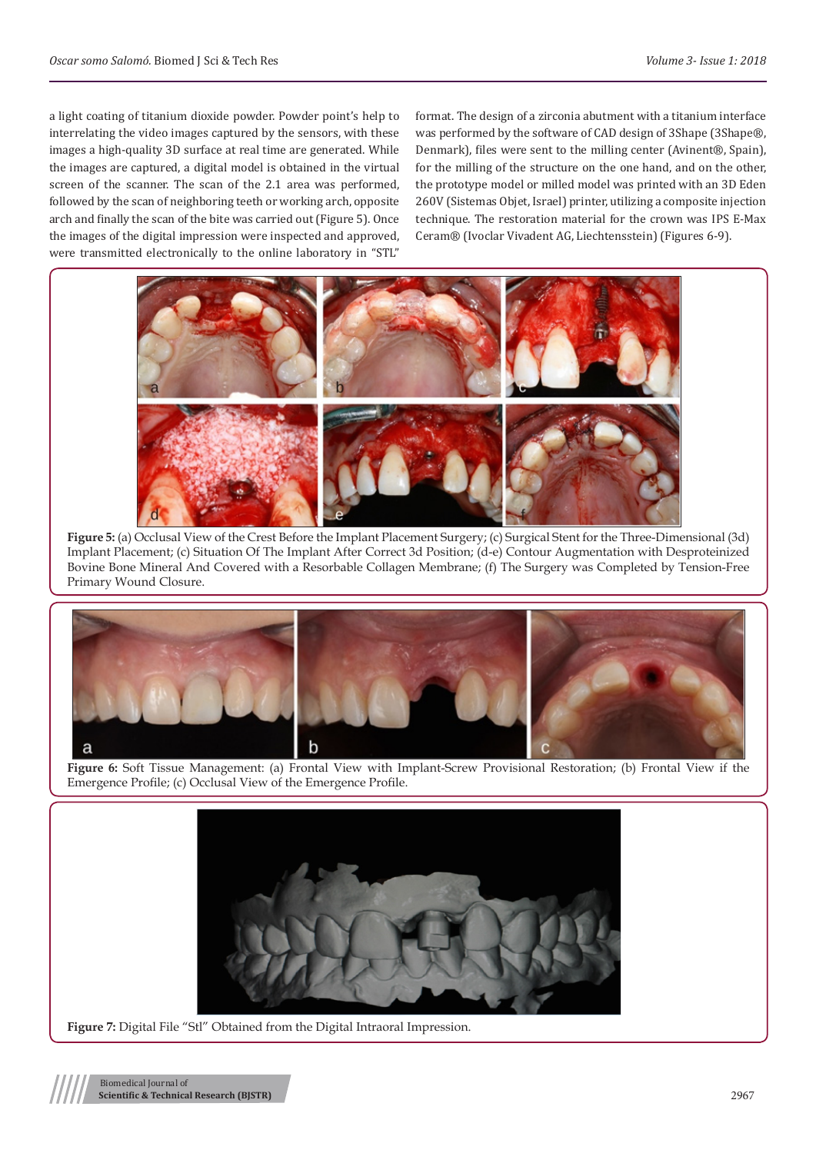a light coating of titanium dioxide powder. Powder point's help to interrelating the video images captured by the sensors, with these images a high-quality 3D surface at real time are generated. While the images are captured, a digital model is obtained in the virtual screen of the scanner. The scan of the 2.1 area was performed, followed by the scan of neighboring teeth or working arch, opposite arch and finally the scan of the bite was carried out (Figure 5). Once the images of the digital impression were inspected and approved, were transmitted electronically to the online laboratory in "STL"

format. The design of a zirconia abutment with a titanium interface was performed by the software of CAD design of 3Shape (3Shape®, Denmark), files were sent to the milling center (Avinent®, Spain), for the milling of the structure on the one hand, and on the other, the prototype model or milled model was printed with an 3D Eden 260V (Sistemas Objet, Israel) printer, utilizing a composite injection technique. The restoration material for the crown was IPS E-Max Ceram® (Ivoclar Vivadent AG, Liechtensstein) (Figures 6-9).



**Figure 5:** (a) Occlusal View of the Crest Before the Implant Placement Surgery; (c) Surgical Stent for the Three-Dimensional (3d) Implant Placement; (c) Situation Of The Implant After Correct 3d Position; (d-e) Contour Augmentation with Desproteinized Bovine Bone Mineral And Covered with a Resorbable Collagen Membrane; (f) The Surgery was Completed by Tension-Free Primary Wound Closure.



**Figure 6:** Soft Tissue Management: (a) Frontal View with Implant-Screw Provisional Restoration; (b) Frontal View if the Emergence Profile; (c) Occlusal View of the Emergence Profile.